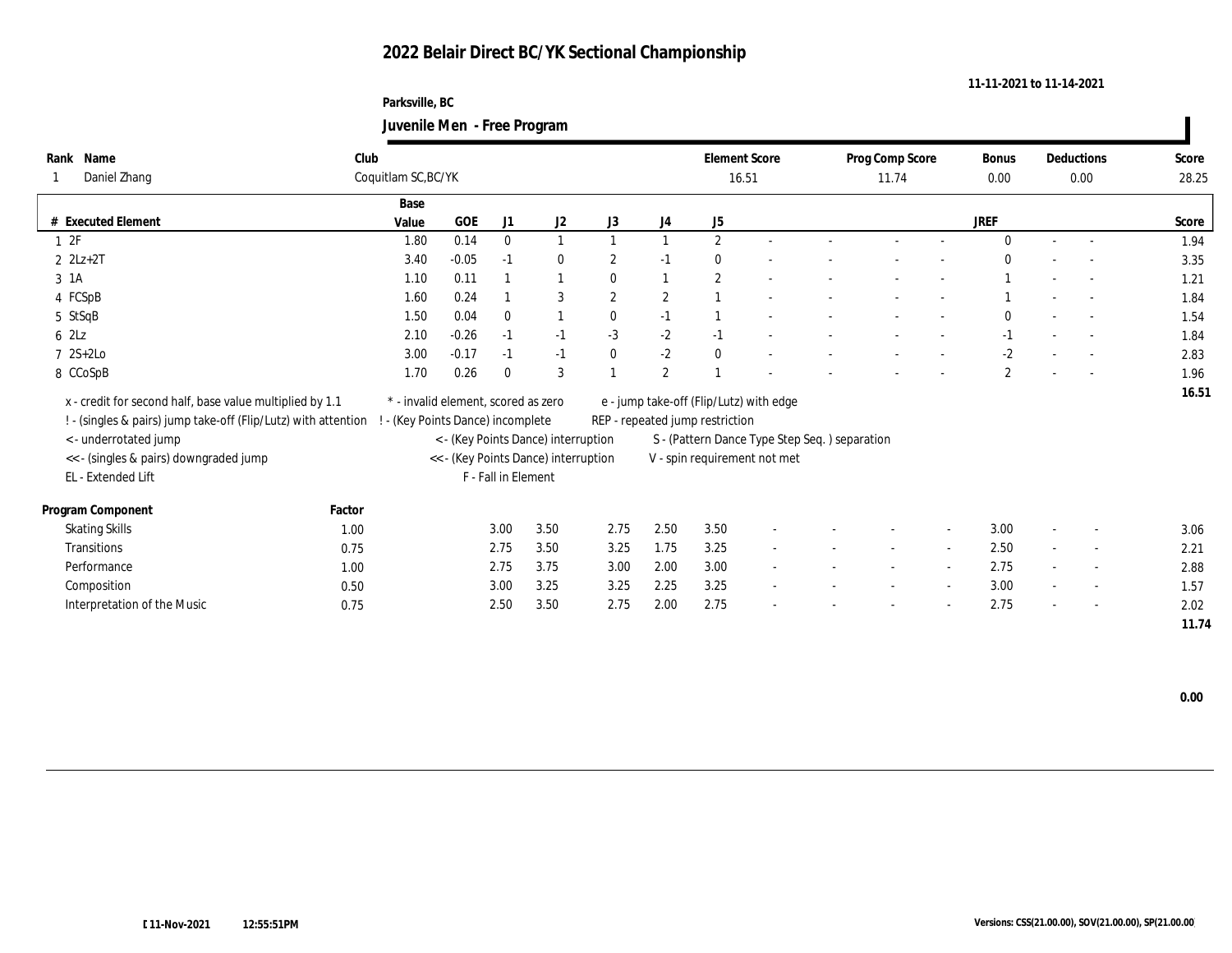#### **Parksville, BC Juvenile Men - Free Program**

|                                        |                                                                |                                     |                                 |                     | ັ                                    |                  |              |                                 |                                               |                 |                          |                |        |                          |       |
|----------------------------------------|----------------------------------------------------------------|-------------------------------------|---------------------------------|---------------------|--------------------------------------|------------------|--------------|---------------------------------|-----------------------------------------------|-----------------|--------------------------|----------------|--------|--------------------------|-------|
| Name<br>Rank                           | Club                                                           |                                     |                                 |                     |                                      |                  |              |                                 | <b>Element Score</b>                          | Prog Comp Score |                          | <b>Bonus</b>   |        | Deductions               | Score |
| Daniel Zhang                           |                                                                | Coquitlam SC, BC/YK                 |                                 |                     |                                      |                  |              |                                 | 16.51                                         | 11.74           |                          | 0.00           |        | 0.00                     | 28.25 |
|                                        |                                                                | Base                                |                                 |                     |                                      |                  |              |                                 |                                               |                 |                          |                |        |                          |       |
| # Executed Element                     |                                                                | Value                               | GOE                             | J1                  | J2                                   | J3               | J4           | J5                              |                                               |                 |                          | <b>JREF</b>    |        |                          | Score |
| 12F                                    |                                                                | 1.80                                | 0.14                            | $\mathbf{0}$        | 1                                    |                  |              | $\mathbf{2}$                    | $\sim$                                        |                 |                          | $\mathbf{0}$   | $\sim$ | $\sim$                   | 1.94  |
| $2 \text{ } 2Lz + 2T$                  |                                                                | 3.40                                | $-0.05$                         | $-1$                | $\bf{0}$                             | $\boldsymbol{2}$ | $-1$         | $\theta$                        |                                               |                 |                          | $\Omega$       |        |                          | 3.35  |
| 3 1A                                   |                                                                | 1.10                                | 0.11                            |                     | $\mathbf{1}$                         | $\mathbf{0}$     | $\mathbf{1}$ | $\mathbf{2}$                    |                                               |                 |                          |                |        | $\overline{a}$           | 1.21  |
| 4 FCSpB                                |                                                                | 1.60                                | 0.24                            |                     | 3                                    | $\mathbf{2}$     | $\mathbf{2}$ |                                 |                                               |                 |                          |                |        | $\overline{\phantom{a}}$ | 1.84  |
| 5 StSqB                                |                                                                | 1.50                                | 0.04                            | $\mathbf{0}$        | $\mathbf{1}$                         | $\mathbf{0}$     | $-1$         |                                 |                                               |                 |                          | $\mathbf{0}$   |        |                          | 1.54  |
| 62Lz                                   |                                                                | 2.10                                | $-0.26$                         | $-1$                | $-1$                                 | $-3$             | $-2$         | $-1$                            |                                               |                 |                          | $-1$           |        | $\sim$                   | 1.84  |
| $7 \text{ } 2S+2Lo$                    |                                                                | 3.00                                | $-0.17$                         | $-1$                | $-1$                                 | $\mathbf{0}$     | $-2$         | $\mathbf{0}$                    |                                               |                 |                          | $-2$           |        | $\sim$                   | 2.83  |
| 8 CCoSpB                               |                                                                | 1.70                                | 0.26                            | $\mathbf{0}$        | 3                                    |                  | $\sqrt{2}$   |                                 |                                               |                 |                          | $\overline{2}$ |        |                          | 1.96  |
|                                        | x - credit for second half, base value multiplied by 1.1       | * - invalid element, scored as zero |                                 |                     |                                      |                  |              |                                 | e - jump take-off (Flip/Lutz) with edge       |                 |                          |                |        |                          | 16.51 |
|                                        | ! - (singles & pairs) jump take-off (Flip/Lutz) with attention |                                     | - (Key Points Dance) incomplete |                     |                                      |                  |              | REP - repeated jump restriction |                                               |                 |                          |                |        |                          |       |
| < - underrotated jump                  |                                                                |                                     |                                 |                     | < - (Key Points Dance) interruption  |                  |              |                                 | S - (Pattern Dance Type Step Seq.) separation |                 |                          |                |        |                          |       |
| << - (singles & pairs) downgraded jump |                                                                |                                     |                                 |                     | << - (Key Points Dance) interruption |                  |              |                                 | V - spin requirement not met                  |                 |                          |                |        |                          |       |
| EL - Extended Lift                     |                                                                |                                     |                                 | F - Fall in Element |                                      |                  |              |                                 |                                               |                 |                          |                |        |                          |       |
|                                        |                                                                |                                     |                                 |                     |                                      |                  |              |                                 |                                               |                 |                          |                |        |                          |       |
| Program Component                      | Factor                                                         |                                     |                                 |                     |                                      |                  |              |                                 |                                               |                 |                          |                |        |                          |       |
| <b>Skating Skills</b>                  | 1.00                                                           |                                     |                                 | 3.00                | 3.50                                 | 2.75             | 2.50         | 3.50                            |                                               |                 |                          | 3.00           |        | $\overline{\phantom{a}}$ | 3.06  |
| <b>Transitions</b>                     | 0.75                                                           |                                     |                                 | 2.75                | 3.50                                 | 3.25             | 1.75         | 3.25                            | $\sim$                                        | $\sim$          | $\sim$                   | 2.50           | $\sim$ | $\sim$                   | 2.21  |
| Performance                            | 1.00                                                           |                                     |                                 | 2.75                | 3.75                                 | 3.00             | 2.00         | 3.00                            |                                               |                 | $\overline{\phantom{a}}$ | 2.75           |        | $\overline{\phantom{a}}$ | 2.88  |
| Composition                            | 0.50                                                           |                                     |                                 | 3.00                | 3.25                                 | 3.25             | 2.25         | 3.25                            | $\overline{\phantom{a}}$                      |                 | $\sim$                   | 3.00           |        | $\sim$                   | 1.57  |
| Interpretation of the Music            | 0.75                                                           |                                     |                                 | 2.50                | 3.50                                 | 2.75             | 2.00         | 2.75                            |                                               |                 | $\overline{\phantom{a}}$ | 2.75           |        | $\sim$                   | 2.02  |
|                                        |                                                                |                                     |                                 |                     |                                      |                  |              |                                 |                                               |                 |                          |                |        |                          | 11.74 |

 $\blacksquare$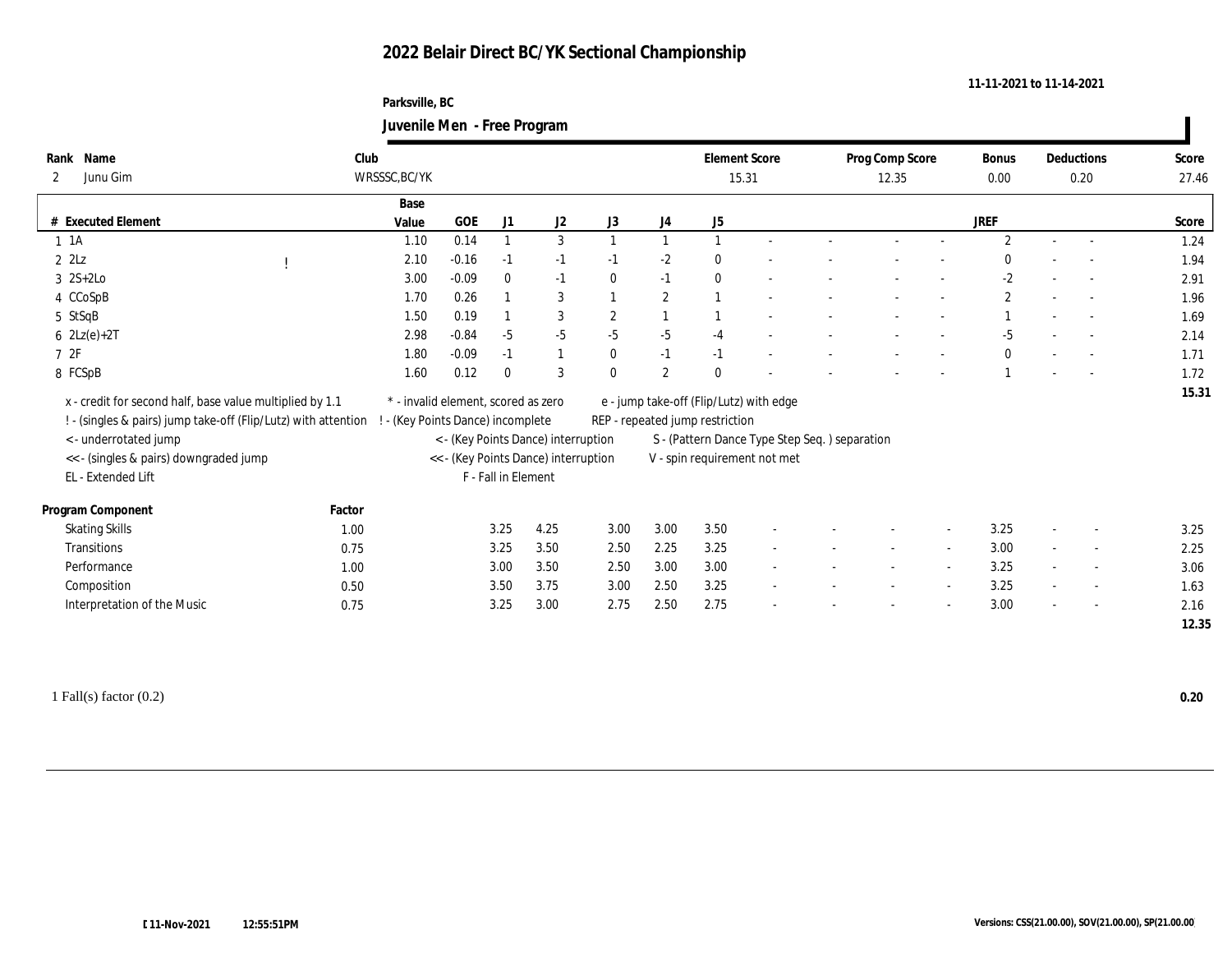#### **Parksville, BC Juvenile Men - Free Program**

|                                        |                                                                |                                     |         |                     | $\mathbf{\sigma}$                    |                |              |                                         |                                               |                 |        |                |                          |                          |       |
|----------------------------------------|----------------------------------------------------------------|-------------------------------------|---------|---------------------|--------------------------------------|----------------|--------------|-----------------------------------------|-----------------------------------------------|-----------------|--------|----------------|--------------------------|--------------------------|-------|
| Name<br>Rank                           | Club                                                           |                                     |         |                     |                                      |                |              | <b>Element Score</b>                    |                                               | Prog Comp Score |        | Bonus          |                          | Deductions               | Score |
| Junu Gim<br>$\mathbf{2}$               |                                                                | WRSSSC, BC/YK                       |         |                     |                                      |                |              | 15.31                                   |                                               | 12.35           |        | 0.00           |                          | 0.20                     | 27.46 |
|                                        |                                                                | Base                                |         |                     |                                      |                |              |                                         |                                               |                 |        |                |                          |                          |       |
| # Executed Element                     |                                                                | Value                               | GOE     | J1                  | J2                                   | J3             | J4           | J5                                      |                                               |                 |        | JREF           |                          |                          | Score |
| $1 \t1A$                               |                                                                | 1.10                                | 0.14    |                     | 3                                    | $\overline{1}$ | $\mathbf{1}$ | $\mathbf{1}$                            |                                               |                 |        | $\overline{2}$ |                          | $\sim$                   | 1.24  |
| $2\,$ $2\mathrm{Lz}$                   |                                                                | 2.10                                | $-0.16$ | $-1$                | $-1$                                 | $-1$           | $-2$         | $\mathbf{0}$                            |                                               |                 |        | $\Omega$       |                          |                          | 1.94  |
| $3 \quad 2S+2Lo$                       |                                                                | 3.00                                | $-0.09$ | $\mathbf{0}$        | $-1$                                 | $\mathbf{0}$   | $-1$         | $\mathbf{0}$                            |                                               |                 |        | $-2$           |                          |                          | 2.91  |
| 4 CCoSpB                               |                                                                | 1.70                                | 0.26    |                     | 3                                    |                | $\mathbf{2}$ |                                         |                                               |                 |        | $\mathbf{2}$   |                          |                          | 1.96  |
| 5 StSqB                                |                                                                | 1.50                                | 0.19    |                     | 3                                    | 2              | $\mathbf{1}$ |                                         |                                               |                 |        |                |                          | $\overline{\phantom{a}}$ | 1.69  |
| 6 $2Lz(e)+2T$                          |                                                                | 2.98                                | $-0.84$ | $-5$                | $-5$                                 | $-5$           | $-5$         | $-4$                                    |                                               |                 |        | $-5$           |                          |                          | 2.14  |
| 72F                                    |                                                                | 1.80                                | $-0.09$ | $-1$                | 1                                    | $\mathbf{0}$   | $-1$         | $-1$                                    |                                               |                 |        | $\mathbf{0}$   |                          |                          | 1.71  |
| 8 FCSpB                                |                                                                | 1.60                                | 0.12    | $\bf{0}$            | 3                                    | $\theta$       | $\mathbf{2}$ | $\Omega$                                |                                               |                 |        |                |                          |                          | 1.72  |
|                                        | x - credit for second half, base value multiplied by 1.1       | * - invalid element, scored as zero |         |                     |                                      |                |              | e - jump take-off (Flip/Lutz) with edge |                                               |                 |        |                |                          |                          | 15.31 |
|                                        | ! - (singles & pairs) jump take-off (Flip/Lutz) with attention | ! - (Key Points Dance) incomplete   |         |                     |                                      |                |              | REP - repeated jump restriction         |                                               |                 |        |                |                          |                          |       |
| <- underrotated jump                   |                                                                |                                     |         |                     | < - (Key Points Dance) interruption  |                |              |                                         | S - (Pattern Dance Type Step Seq.) separation |                 |        |                |                          |                          |       |
| << - (singles & pairs) downgraded jump |                                                                |                                     |         |                     | << - (Key Points Dance) interruption |                |              |                                         | V - spin requirement not met                  |                 |        |                |                          |                          |       |
| EL - Extended Lift                     |                                                                |                                     |         | F - Fall in Element |                                      |                |              |                                         |                                               |                 |        |                |                          |                          |       |
|                                        |                                                                |                                     |         |                     |                                      |                |              |                                         |                                               |                 |        |                |                          |                          |       |
| Program Component                      | Factor                                                         |                                     |         |                     |                                      |                |              |                                         |                                               |                 |        |                |                          |                          |       |
| <b>Skating Skills</b>                  | 1.00                                                           |                                     |         | 3.25                | 4.25                                 | 3.00           | 3.00         | 3.50                                    |                                               |                 |        | 3.25           |                          |                          | 3.25  |
| Transitions                            | 0.75                                                           |                                     |         | 3.25                | 3.50                                 | 2.50           | 2.25         | 3.25                                    |                                               | $\sim$          | $\sim$ | 3.00           | $\sim$                   | $\overline{\phantom{a}}$ | 2.25  |
| Performance                            | 1.00                                                           |                                     |         | 3.00                | 3.50                                 | 2.50           | 3.00         | 3.00                                    |                                               |                 | $\sim$ | 3.25           | $\overline{\phantom{a}}$ | $\overline{\phantom{a}}$ | 3.06  |
| Composition                            | 0.50                                                           |                                     |         | 3.50                | 3.75                                 | 3.00           | 2.50         | 3.25                                    |                                               |                 | $\sim$ | 3.25           |                          | $\overline{\phantom{a}}$ | 1.63  |
| Interpretation of the Music            | 0.75                                                           |                                     |         | 3.25                | 3.00                                 | 2.75           | 2.50         | 2.75                                    |                                               |                 |        | 3.00           |                          | $\overline{\phantom{a}}$ | 2.16  |
|                                        |                                                                |                                     |         |                     |                                      |                |              |                                         |                                               |                 |        |                |                          |                          | 12.35 |
|                                        |                                                                |                                     |         |                     |                                      |                |              |                                         |                                               |                 |        |                |                          |                          |       |

 $\blacksquare$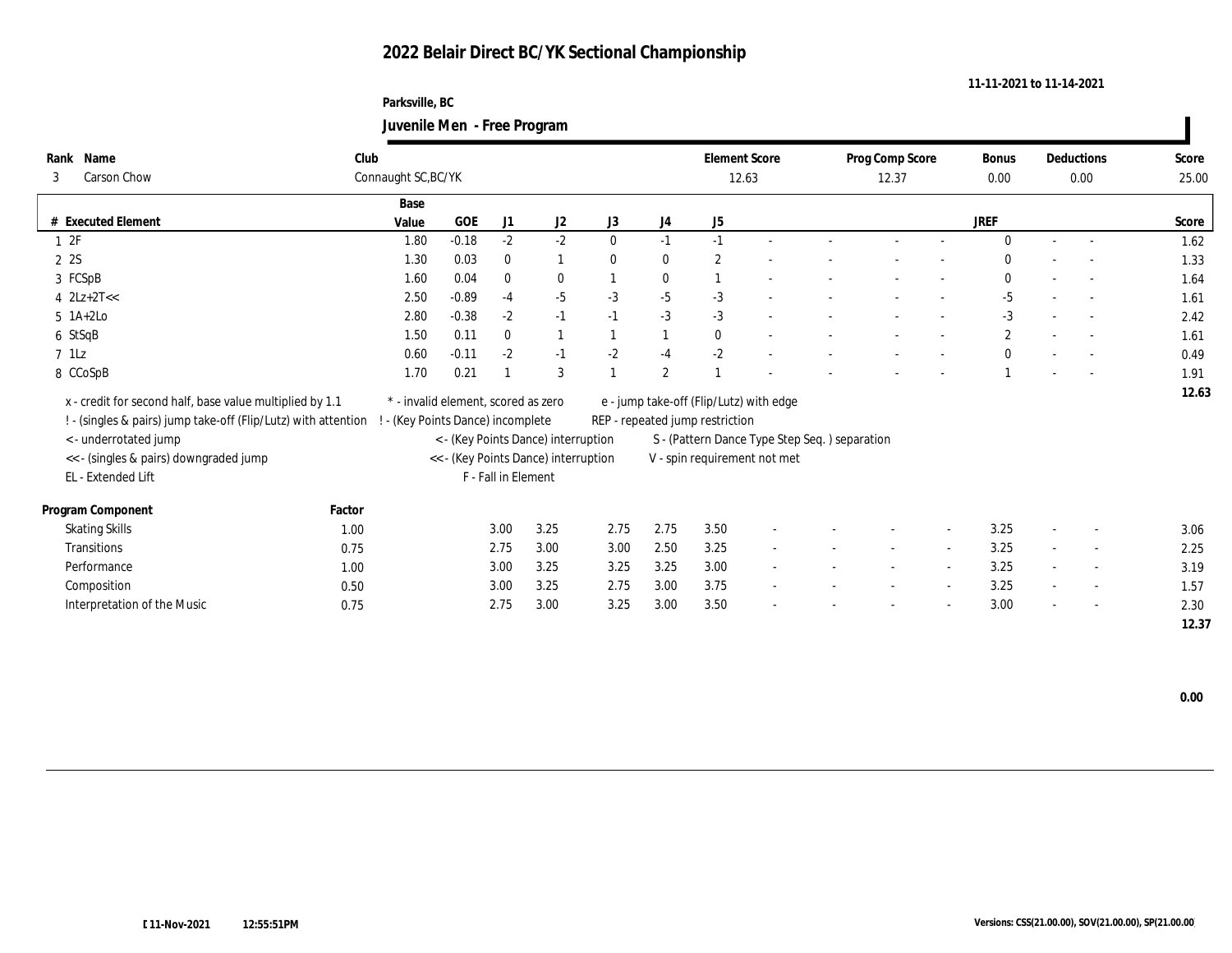#### **Parksville, BC Juvenile Men - Free Program**

|                                                                |        |                                     |                                 |                     | $\tilde{\phantom{a}}$                |              |              |                                 |                                               |                 |                          |              |                          |       |
|----------------------------------------------------------------|--------|-------------------------------------|---------------------------------|---------------------|--------------------------------------|--------------|--------------|---------------------------------|-----------------------------------------------|-----------------|--------------------------|--------------|--------------------------|-------|
| Name<br>Rank                                                   | Club   |                                     |                                 |                     |                                      |              |              |                                 | <b>Element Score</b>                          | Prog Comp Score |                          | Bonus        | Deductions               | Score |
| <b>Carson Chow</b><br>3                                        |        | Connaught SC, BC/YK                 |                                 |                     |                                      |              |              |                                 | 12.63                                         | 12.37           |                          | $0.00\,$     | $0.00\,$                 | 25.00 |
|                                                                |        | Base                                |                                 |                     |                                      |              |              |                                 |                                               |                 |                          |              |                          |       |
| # Executed Element                                             |        | Value                               | <b>GOE</b>                      | J1                  | J2                                   | J3           | J4           | J5                              |                                               |                 |                          | <b>JREF</b>  |                          | Score |
| 12F                                                            |        | 1.80                                | $-0.18$                         | $-2$                | $-2$                                 | $\mathbf{0}$ | $-1$         | $-1$                            |                                               |                 |                          | $\Omega$     | $\sim$                   | 1.62  |
| 2 2S                                                           |        | 1.30                                | 0.03                            | $\bf{0}$            | $\mathbf{1}$                         | $\bf{0}$     | $\bf{0}$     | $\boldsymbol{2}$                |                                               |                 |                          | $\theta$     |                          | 1.33  |
| 3 FCSpB                                                        |        | 1.60                                | 0.04                            | $\bf{0}$            | $\bf{0}$                             |              | $\bf{0}$     |                                 | $\overline{\phantom{a}}$                      |                 |                          | $\mathbf{0}$ | $\overline{\phantom{a}}$ | 1.64  |
| $4$ $2Lz+2T<<$                                                 |        | 2.50                                | $-0.89$                         | $-4$                | $-5$                                 | $-3$         | $-5$         | $-3$                            | $\overline{\phantom{a}}$                      |                 |                          | $-5$         | $\sim$                   | 1.61  |
| $5$ 1A+2Lo                                                     |        | 2.80                                | $-0.38$                         | $-2$                | $-1$                                 | $-1$         | $-3$         | $-3$                            | $\overline{\phantom{a}}$                      |                 |                          | $-3$         | $\overline{\phantom{a}}$ | 2.42  |
| 6 StSqB                                                        |        | 1.50                                | 0.11                            | $\mathbf{0}$        | $\mathbf{1}$                         |              |              | $\theta$                        | $\overline{a}$                                | $\sim$          | $\overline{\phantom{a}}$ | $\mathbf{2}$ | $\sim$                   | 1.61  |
| $7$ 1Lz                                                        |        | 0.60                                | $-0.11$                         | $-2$                | $-1$                                 | $-2$         | $-4$         | $-2$                            |                                               |                 |                          | $\mathbf{0}$ | $\sim$                   | 0.49  |
| 8 CCoSpB                                                       |        | 1.70                                | 0.21                            |                     | 3                                    |              | $\mathbf{2}$ |                                 |                                               |                 |                          |              | $\overline{\phantom{a}}$ | 1.91  |
| x - credit for second half, base value multiplied by 1.1       |        | * - invalid element, scored as zero |                                 |                     |                                      |              |              |                                 | e - jump take-off (Flip/Lutz) with edge       |                 |                          |              |                          | 12.63 |
| ! - (singles & pairs) jump take-off (Flip/Lutz) with attention |        |                                     | - (Key Points Dance) incomplete |                     |                                      |              |              | REP - repeated jump restriction |                                               |                 |                          |              |                          |       |
| <- underrotated jump                                           |        |                                     |                                 |                     | < - (Key Points Dance) interruption  |              |              |                                 | S - (Pattern Dance Type Step Seq.) separation |                 |                          |              |                          |       |
| << - (singles & pairs) downgraded jump                         |        |                                     |                                 |                     | << - (Key Points Dance) interruption |              |              |                                 | V - spin requirement not met                  |                 |                          |              |                          |       |
| EL - Extended Lift                                             |        |                                     |                                 | F - Fall in Element |                                      |              |              |                                 |                                               |                 |                          |              |                          |       |
|                                                                |        |                                     |                                 |                     |                                      |              |              |                                 |                                               |                 |                          |              |                          |       |
| Program Component                                              | Factor |                                     |                                 |                     |                                      |              |              |                                 |                                               |                 |                          |              |                          |       |
| <b>Skating Skills</b>                                          | 1.00   |                                     |                                 | 3.00                | 3.25                                 | 2.75         | 2.75         | 3.50                            |                                               |                 |                          | 3.25         | $\overline{\phantom{a}}$ | 3.06  |
| Transitions                                                    | 0.75   |                                     |                                 | 2.75                | 3.00                                 | 3.00         | 2.50         | 3.25                            |                                               | $\sim$          | $\sim$                   | 3.25         | $\overline{\phantom{a}}$ | 2.25  |
| Performance                                                    | 1.00   |                                     |                                 | 3.00                | 3.25                                 | 3.25         | 3.25         | 3.00                            |                                               |                 | $\overline{\phantom{a}}$ | 3.25         | $\overline{\phantom{a}}$ | 3.19  |
| Composition                                                    | 0.50   |                                     |                                 | 3.00                | 3.25                                 | 2.75         | 3.00         | 3.75                            | $\overline{\phantom{a}}$                      |                 | $\sim$                   | 3.25         | $\overline{\phantom{a}}$ | 1.57  |
| Interpretation of the Music                                    | 0.75   |                                     |                                 | 2.75                | 3.00                                 | 3.25         | 3.00         | 3.50                            |                                               |                 | $\overline{\phantom{a}}$ | 3.00         | $\overline{\phantom{a}}$ | 2.30  |
|                                                                |        |                                     |                                 |                     |                                      |              |              |                                 |                                               |                 |                          |              |                          | 12.37 |

 **0.00**

 $\blacksquare$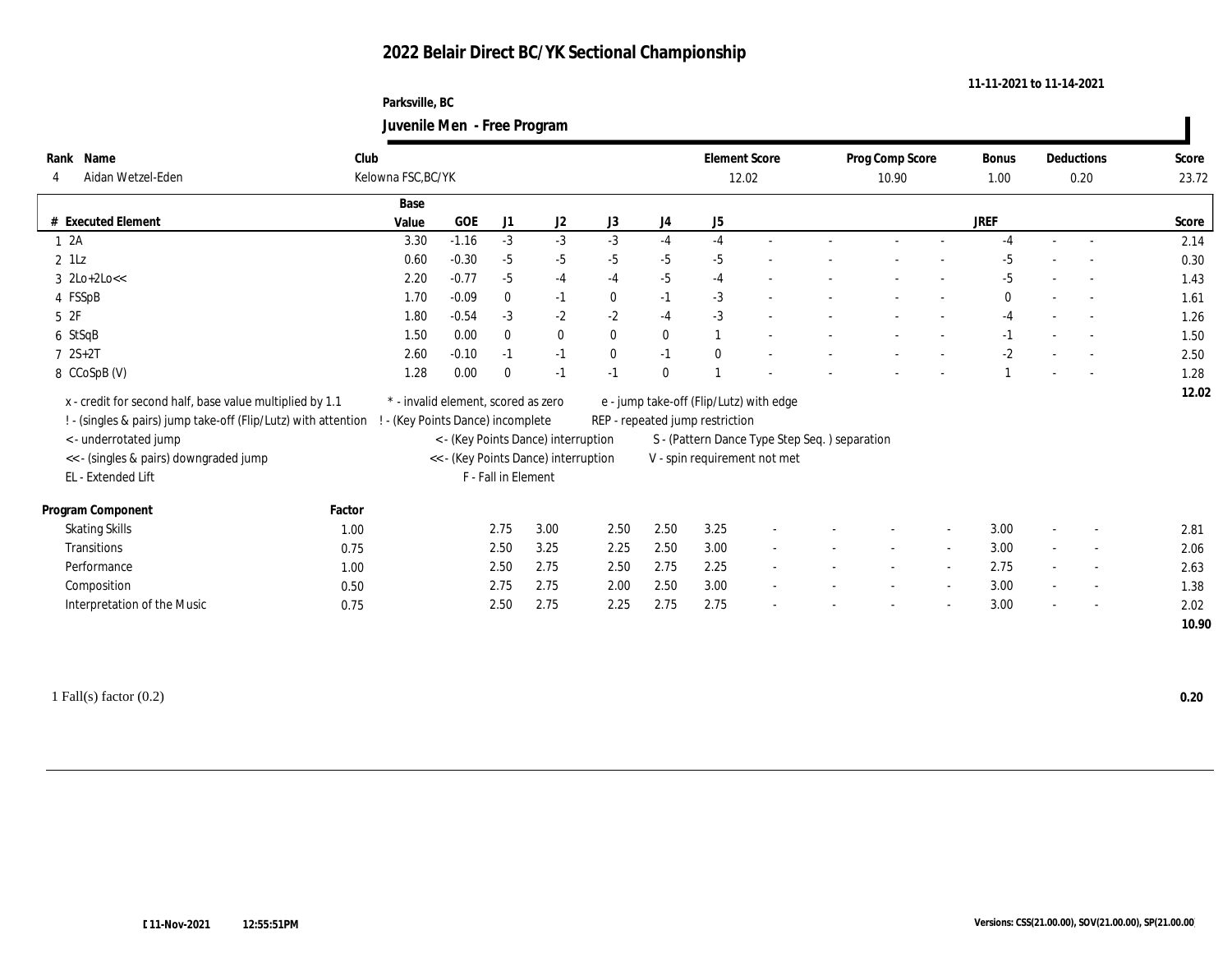#### **Parksville, BC Juvenile Men - Free Program**

| Score<br>23.72<br>Score<br>2.14<br>0.30<br>1.43<br>1.61<br>1.26<br>1.50<br>2.50 |
|---------------------------------------------------------------------------------|
|                                                                                 |
|                                                                                 |
|                                                                                 |
|                                                                                 |
|                                                                                 |
|                                                                                 |
|                                                                                 |
|                                                                                 |
|                                                                                 |
|                                                                                 |
|                                                                                 |
| 1.28                                                                            |
| 12.02                                                                           |
|                                                                                 |
|                                                                                 |
|                                                                                 |
|                                                                                 |
|                                                                                 |
|                                                                                 |
| 2.81                                                                            |
| 2.06                                                                            |
| 2.63                                                                            |
| 1.38                                                                            |
| 2.02                                                                            |
| 10.90                                                                           |
|                                                                                 |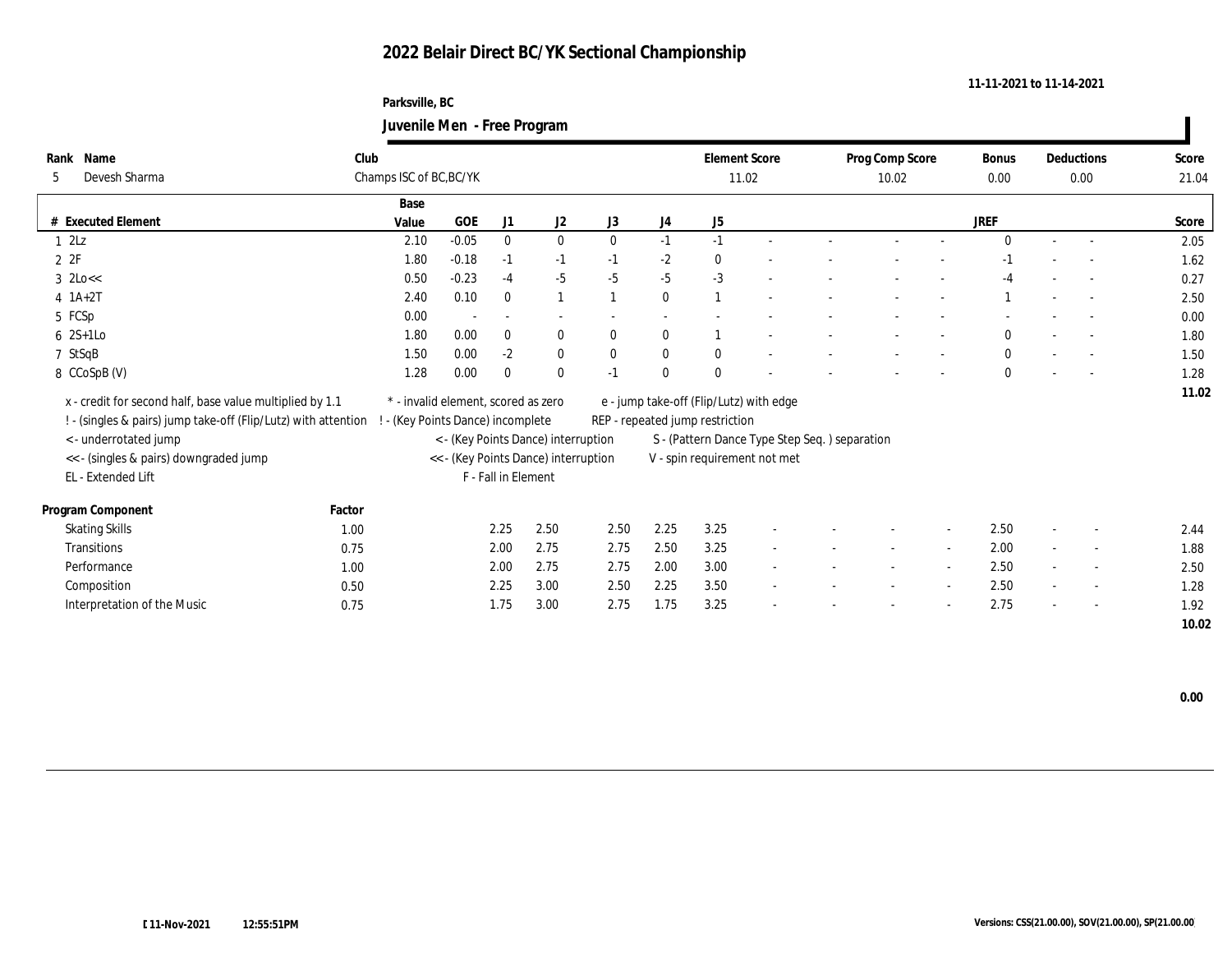#### **Parksville, BC Juvenile Men - Free Program**

|        |                                                                |                         |                                     |                     | ັ                                    |              |                  |                                 |                                               |                 |                          |              |        |                          |       |
|--------|----------------------------------------------------------------|-------------------------|-------------------------------------|---------------------|--------------------------------------|--------------|------------------|---------------------------------|-----------------------------------------------|-----------------|--------------------------|--------------|--------|--------------------------|-------|
| Rank   | Name                                                           | Club                    |                                     |                     |                                      |              |                  |                                 | <b>Element Score</b>                          | Prog Comp Score |                          | <b>Bonus</b> |        | Deductions               | Score |
| 5      | Devesh Sharma                                                  | Champs ISC of BC, BC/YK |                                     |                     |                                      |              |                  |                                 | 11.02                                         | 10.02           |                          | 0.00         |        | 0.00                     | 21.04 |
|        |                                                                | Base                    |                                     |                     |                                      |              |                  |                                 |                                               |                 |                          |              |        |                          |       |
|        | # Executed Element                                             | Value                   | GOE                                 | J1                  | J2                                   | J3           | J4               | J5                              |                                               |                 |                          | <b>JREF</b>  |        |                          | Score |
| 12Lz   |                                                                | 2.10                    | $-0.05$                             | $\mathbf{0}$        | $\bf{0}$                             | $\mathbf{0}$ | $-1$             | $-1$                            | $\sim$                                        |                 |                          | $\mathbf{0}$ | $\sim$ | $\sim$                   | 2.05  |
| 2ZF    |                                                                | 1.80                    | $-0.18$                             | $-1$                | $-1$                                 | $-1$         | $-2$             | $\mathbf{0}$                    |                                               |                 |                          |              |        |                          | 1.62  |
|        | $3 \text{ }2\text{Lo}\ll$                                      | 0.50                    | $-0.23$                             | $-4$                | $-5$                                 | $-5$         | $-5$             | $-3$                            |                                               |                 |                          |              |        |                          | 0.27  |
|        | $4$ 1A+2T                                                      | 2.40                    | 0.10                                | $\mathbf{0}$        | $\mathbf{1}$                         |              | $\mathbf{0}$     |                                 | $\overline{\phantom{a}}$                      |                 |                          |              |        | $\sim$                   | 2.50  |
| 5 FCSp |                                                                | 0.00                    |                                     |                     |                                      |              |                  |                                 |                                               |                 |                          |              |        |                          | 0.00  |
|        | $6 \quad 2S+1LO$                                               | 1.80                    | 0.00                                | $\bf{0}$            | $\bf{0}$                             | $\mathbf{0}$ | $\bf{0}$         |                                 | $\overline{\phantom{a}}$                      |                 |                          | $\bf{0}$     |        | $\overline{\phantom{a}}$ | 1.80  |
|        | 7 StSqB                                                        | 1.50                    | 0.00                                | $-2$                | $\bf{0}$                             | $\mathbf{0}$ | $\bf{0}$         | $\mathbf{0}$                    |                                               |                 |                          | $\bf{0}$     |        | $\sim$                   | 1.50  |
|        | 8 CCoSpB (V)                                                   | 1.28                    | 0.00                                | $\mathbf{0}$        | $\mathbf{0}$                         | $-1$         | $\boldsymbol{0}$ | $\mathbf{0}$                    |                                               |                 |                          | $\mathbf{0}$ |        |                          | 1.28  |
|        | x - credit for second half, base value multiplied by 1.1       |                         | * - invalid element, scored as zero |                     |                                      |              |                  |                                 | e - jump take-off (Flip/Lutz) with edge       |                 |                          |              |        |                          | 11.02 |
|        | ! - (singles & pairs) jump take-off (Flip/Lutz) with attention |                         | - (Key Points Dance) incomplete     |                     |                                      |              |                  | REP - repeated jump restriction |                                               |                 |                          |              |        |                          |       |
|        | < - underrotated jump                                          |                         |                                     |                     | < - (Key Points Dance) interruption  |              |                  |                                 | S - (Pattern Dance Type Step Seq.) separation |                 |                          |              |        |                          |       |
|        |                                                                |                         |                                     |                     | << - (Key Points Dance) interruption |              |                  |                                 |                                               |                 |                          |              |        |                          |       |
|        | << - (singles & pairs) downgraded jump<br>EL - Extended Lift   |                         |                                     | F - Fall in Element |                                      |              |                  |                                 | V - spin requirement not met                  |                 |                          |              |        |                          |       |
|        |                                                                |                         |                                     |                     |                                      |              |                  |                                 |                                               |                 |                          |              |        |                          |       |
|        | Program Component                                              | Factor                  |                                     |                     |                                      |              |                  |                                 |                                               |                 |                          |              |        |                          |       |
|        | <b>Skating Skills</b>                                          | 1.00                    |                                     | 2.25                | 2.50                                 | 2.50         | 2.25             | 3.25                            |                                               |                 |                          | 2.50         |        | $\overline{\phantom{a}}$ | 2.44  |
|        | <b>Transitions</b>                                             | 0.75                    |                                     | 2.00                | 2.75                                 | 2.75         | 2.50             | 3.25                            | $\sim$                                        | $\sim$          | $\sim$                   | 2.00         | $\sim$ | $\sim$                   | 1.88  |
|        | Performance                                                    | 1.00                    |                                     | 2.00                | 2.75                                 | 2.75         | 2.00             | 3.00                            |                                               |                 | $\overline{\phantom{a}}$ | 2.50         |        | $\overline{\phantom{a}}$ | 2.50  |
|        | Composition                                                    | 0.50                    |                                     | 2.25                | 3.00                                 | 2.50         | 2.25             | 3.50                            |                                               |                 | $\sim$                   | 2.50         |        | $\sim$                   | 1.28  |
|        | Interpretation of the Music                                    | 0.75                    |                                     | 1.75                | 3.00                                 | 2.75         | 1.75             | 3.25                            |                                               |                 | $\overline{\phantom{a}}$ | 2.75         |        | $\sim$                   | 1.92  |
|        |                                                                |                         |                                     |                     |                                      |              |                  |                                 |                                               |                 |                          |              |        |                          | 10.02 |

 **0.00**

 $\blacksquare$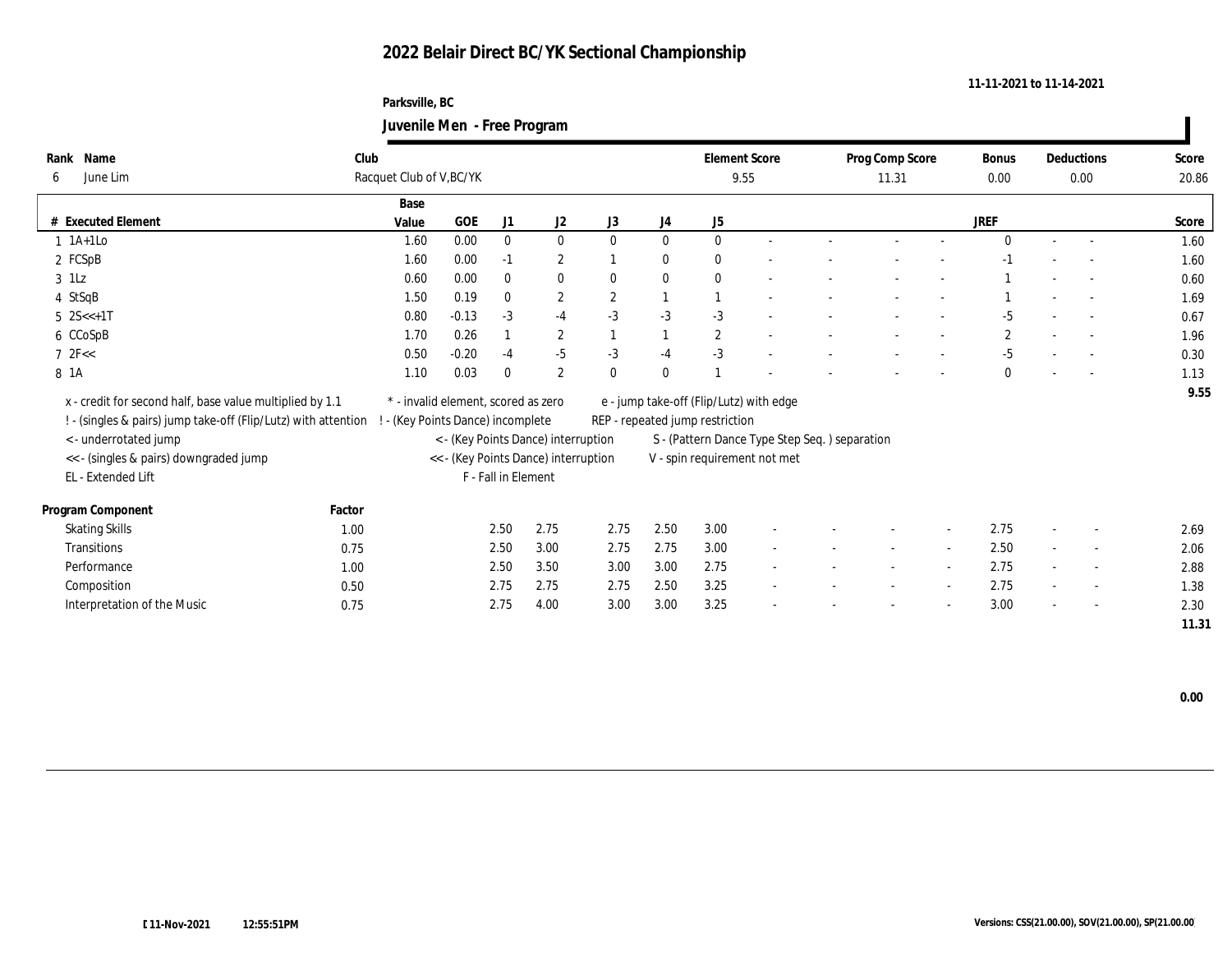#### **Parksville, BC Juvenile Men - Free Program**

|                                                                                                  |                          |                                     |                     | $\overline{\phantom{0}}$             |              |              |                                 |                                               |                 |                          |              |                          |                          |       |
|--------------------------------------------------------------------------------------------------|--------------------------|-------------------------------------|---------------------|--------------------------------------|--------------|--------------|---------------------------------|-----------------------------------------------|-----------------|--------------------------|--------------|--------------------------|--------------------------|-------|
| Name<br>Rank                                                                                     | Club                     |                                     |                     |                                      |              |              |                                 | <b>Element Score</b>                          | Prog Comp Score |                          | Bonus        |                          | Deductions               | Score |
| June Lim<br>6                                                                                    | Racquet Club of V, BC/YK |                                     |                     |                                      |              |              |                                 | 9.55                                          | 11.31           |                          | 0.00         |                          | 0.00                     | 20.86 |
|                                                                                                  | Base                     |                                     |                     |                                      |              |              |                                 |                                               |                 |                          |              |                          |                          |       |
| # Executed Element                                                                               | Value                    | GOE                                 | J1                  | J2                                   | J3           | J4           | J5                              |                                               |                 |                          | <b>JREF</b>  |                          |                          | Score |
| $1$ 1A+1Lo                                                                                       | 1.60                     | $0.00\,$                            | $\bf{0}$            | $\bf{0}$                             | $\mathbf{0}$ | $\bf{0}$     | $\mathbf{0}$                    | $\sim$                                        |                 |                          | $\mathbf{0}$ | $\sim$                   | $\sim$                   | 1.60  |
| 2 FCSpB                                                                                          | 1.60                     | 0.00                                | $-1$                | $\boldsymbol{2}$                     |              | $\bf{0}$     | $\bf{0}$                        |                                               |                 |                          |              |                          |                          | 1.60  |
| $3$ 1Lz                                                                                          | 0.60                     | 0.00                                | $\mathbf{0}$        | $\boldsymbol{0}$                     | $\mathbf{0}$ | $\bf{0}$     | $\mathbf{0}$                    |                                               |                 |                          |              |                          | $\overline{\phantom{a}}$ | 0.60  |
| 4 StSqB                                                                                          | 1.50                     | 0.19                                | $\mathbf{0}$        | $\boldsymbol{2}$                     | $\mathbf{2}$ | $\mathbf{1}$ |                                 | $\overline{\phantom{a}}$                      |                 |                          |              |                          | $\overline{\phantom{a}}$ | 1.69  |
| $5 \quad 2S \leq 1T$                                                                             | 0.80                     | $-0.13$                             | $-3$                | $-4$                                 | $-3$         | $-3$         | $-3$                            |                                               |                 |                          | $-5$         |                          |                          | 0.67  |
| 6 CCoSpB                                                                                         | 1.70                     | 0.26                                |                     | $\mathbf{2}$                         |              |              | $\overline{2}$                  |                                               |                 |                          | $\mathbf{2}$ |                          | $\overline{a}$           | 1.96  |
| 72F <                                                                                            | 0.50                     | $-0.20$                             | $-4$                | $-5$                                 | $-3$         | $-4$         | $-3$                            |                                               |                 |                          | -5           |                          | $\sim$                   | 0.30  |
| 8 1 A                                                                                            | 1.10                     | 0.03                                | $\mathbf{0}$        | $\mathbf{2}$                         | $\theta$     | $\bf{0}$     |                                 |                                               |                 |                          | $\mathbf{0}$ |                          | $\overline{\phantom{a}}$ | 1.13  |
| x - credit for second half, base value multiplied by 1.1                                         |                          | * - invalid element, scored as zero |                     |                                      |              |              |                                 | e - jump take-off (Flip/Lutz) with edge       |                 |                          |              |                          |                          | 9.55  |
| ! - (singles & pairs) jump take-off (Flip/Lutz) with attention ! - (Key Points Dance) incomplete |                          |                                     |                     |                                      |              |              | REP - repeated jump restriction |                                               |                 |                          |              |                          |                          |       |
| <- underrotated jump                                                                             |                          |                                     |                     | < - (Key Points Dance) interruption  |              |              |                                 | S - (Pattern Dance Type Step Seq.) separation |                 |                          |              |                          |                          |       |
| << - (singles & pairs) downgraded jump                                                           |                          |                                     |                     | << - (Key Points Dance) interruption |              |              |                                 | V - spin requirement not met                  |                 |                          |              |                          |                          |       |
| EL - Extended Lift                                                                               |                          |                                     | F - Fall in Element |                                      |              |              |                                 |                                               |                 |                          |              |                          |                          |       |
|                                                                                                  |                          |                                     |                     |                                      |              |              |                                 |                                               |                 |                          |              |                          |                          |       |
| Program Component                                                                                | Factor                   |                                     |                     |                                      |              |              |                                 |                                               |                 |                          |              |                          |                          |       |
| <b>Skating Skills</b>                                                                            | 1.00                     |                                     | 2.50                | 2.75                                 | 2.75         | 2.50         | 3.00                            |                                               |                 |                          | 2.75         |                          | $\overline{\phantom{a}}$ | 2.69  |
| <b>Transitions</b>                                                                               | 0.75                     |                                     | 2.50                | 3.00                                 | 2.75         | 2.75         | 3.00                            | $\sim$                                        | $\sim$          | $\sim$                   | 2.50         |                          | $\sim$                   | 2.06  |
| Performance                                                                                      | 1.00                     |                                     | 2.50                | 3.50                                 | 3.00         | 3.00         | 2.75                            | $\overline{\phantom{a}}$                      |                 | $\sim$                   | 2.75         |                          | $\overline{\phantom{a}}$ | 2.88  |
| Composition                                                                                      | 0.50                     |                                     | 2.75                | 2.75                                 | 2.75         | 2.50         | 3.25                            |                                               |                 | $\sim$                   | 2.75         |                          | $\overline{\phantom{a}}$ | 1.38  |
| Interpretation of the Music                                                                      | 0.75                     |                                     | 2.75                | 4.00                                 | 3.00         | 3.00         | 3.25                            | $\overline{\phantom{a}}$                      |                 | $\overline{\phantom{a}}$ | 3.00         | $\overline{\phantom{a}}$ | $\overline{\phantom{a}}$ | 2.30  |
|                                                                                                  |                          |                                     |                     |                                      |              |              |                                 |                                               |                 |                          |              |                          |                          | 11.31 |

 **0.00**

 $\blacksquare$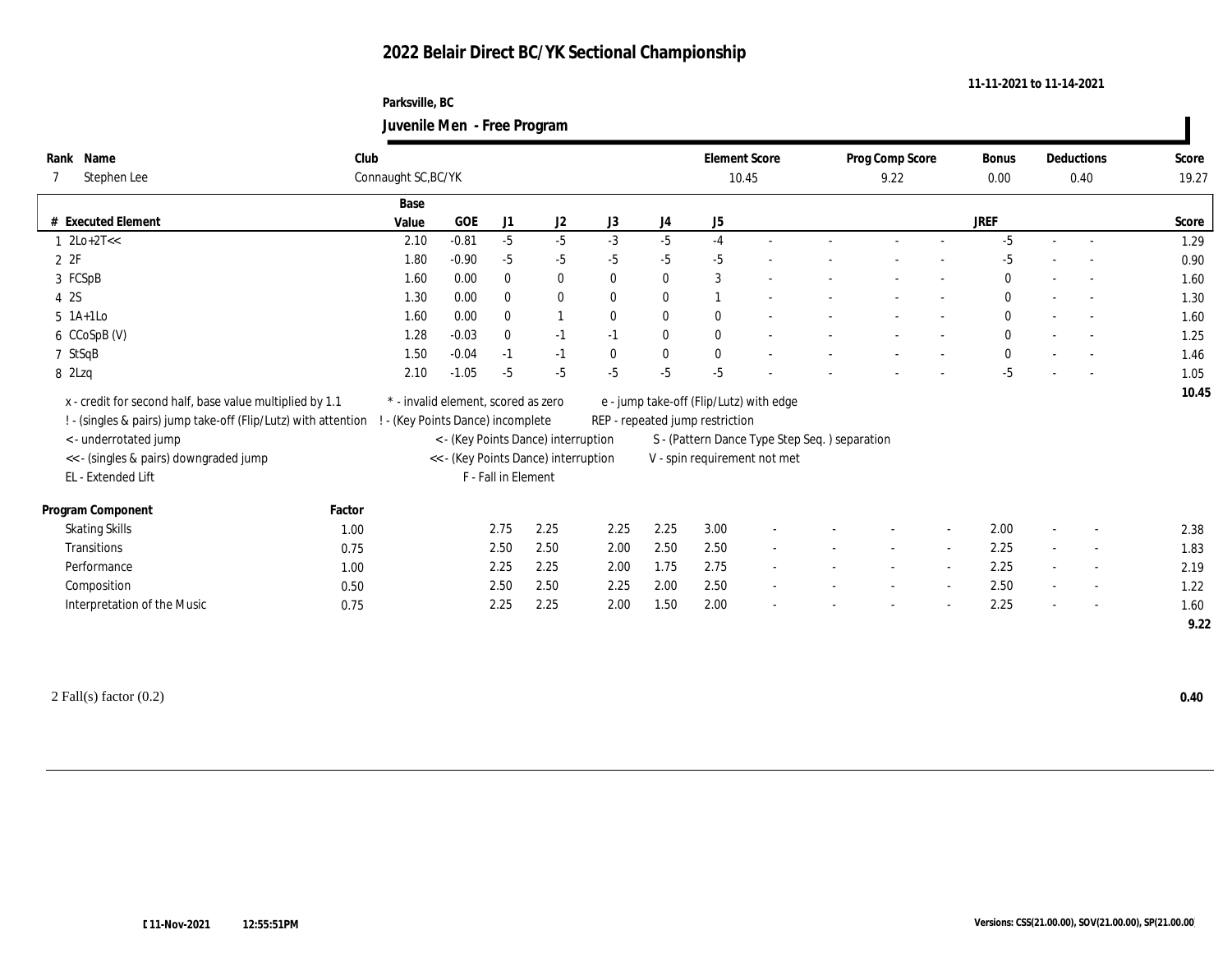#### **Parksville, BC Juvenile Men - Free Program**

|                                                                |        |                                     |            |                     | $\overline{\phantom{0}}$             |              |              |                                               |  |                          |                          |              |        |                          |       |
|----------------------------------------------------------------|--------|-------------------------------------|------------|---------------------|--------------------------------------|--------------|--------------|-----------------------------------------------|--|--------------------------|--------------------------|--------------|--------|--------------------------|-------|
| Name<br>Rank                                                   | Club   |                                     |            |                     |                                      |              |              | <b>Element Score</b>                          |  | Prog Comp Score          |                          | Bonus        |        | Deductions               | Score |
| Stephen Lee<br>7                                               |        | Connaught SC, BC/YK                 |            |                     |                                      |              |              | 10.45                                         |  | 9.22                     |                          | 0.00         |        | 0.40                     | 19.27 |
|                                                                |        | Base                                |            |                     |                                      |              |              |                                               |  |                          |                          |              |        |                          |       |
| # Executed Element                                             |        | Value                               | <b>GOE</b> | J1                  | J2                                   | J3           | J4           | J5                                            |  |                          |                          | <b>JREF</b>  |        |                          | Score |
| $1 \text{ } 2\text{Lo}+2\text{T}<<$                            |        | 2.10                                | $-0.81$    | $-5$                | $-5$                                 | $-3$         | $-5$         | $-4$                                          |  |                          |                          | $-5$         |        |                          | 1.29  |
| 2ZF                                                            |        | 1.80                                | $-0.90$    | $-5$                | $-5$                                 | $-5$         | $-5$         | $-5$                                          |  |                          |                          | $-5$         |        |                          | 0.90  |
| 3 FCSpB                                                        |        | 1.60                                | 0.00       | $\bf{0}$            | $\bf{0}$                             | $\mathbf{0}$ | $\bf{0}$     | 3                                             |  |                          |                          | $\mathbf{0}$ |        |                          | 1.60  |
| 4 2S                                                           |        | 1.30                                | 0.00       | $\mathbf{0}$        | $\mathbf{0}$                         | $\mathbf{0}$ | $\mathbf{0}$ |                                               |  |                          |                          | $\mathbf{0}$ |        |                          | 1.30  |
| $5$ 1A+1Lo                                                     |        | 1.60                                | 0.00       | $\mathbf{0}$        | $\mathbf{1}$                         | $\mathbf{0}$ | $\bf{0}$     | $\mathbf{0}$                                  |  |                          |                          | $\mathbf{0}$ |        | $\sim$                   | 1.60  |
| 6 CCoSpB (V)                                                   |        | 1.28                                | $-0.03$    | $\mathbf{0}$        | $-1$                                 | $-1$         | $\mathbf{0}$ | $\theta$                                      |  |                          | $\sim$                   | $\mathbf{0}$ |        | $\overline{a}$           | 1.25  |
| 7 StSqB                                                        |        | 1.50                                | $-0.04$    | $-1$                | $-1$                                 | $\bf{0}$     | $\bf{0}$     | $\mathbf{0}$                                  |  |                          |                          | $\mathbf{0}$ |        |                          | 1.46  |
| 8 2Lzq                                                         |        | 2.10                                | $-1.05$    | $-5$                | $-5$                                 | $-5$         | $-5$         | $-5$                                          |  |                          |                          | $-5$         |        |                          | 1.05  |
| x - credit for second half, base value multiplied by 1.1       |        | * - invalid element, scored as zero |            |                     |                                      |              |              | e - jump take-off (Flip/Lutz) with edge       |  |                          |                          |              |        |                          | 10.45 |
| ! - (singles & pairs) jump take-off (Flip/Lutz) with attention |        | ! - (Key Points Dance) incomplete   |            |                     |                                      |              |              | REP - repeated jump restriction               |  |                          |                          |              |        |                          |       |
| <- underrotated jump                                           |        |                                     |            |                     | < - (Key Points Dance) interruption  |              |              | S - (Pattern Dance Type Step Seq.) separation |  |                          |                          |              |        |                          |       |
| << - (singles & pairs) downgraded jump                         |        |                                     |            |                     | << - (Key Points Dance) interruption |              |              | V - spin requirement not met                  |  |                          |                          |              |        |                          |       |
| EL - Extended Lift                                             |        |                                     |            | F - Fall in Element |                                      |              |              |                                               |  |                          |                          |              |        |                          |       |
|                                                                |        |                                     |            |                     |                                      |              |              |                                               |  |                          |                          |              |        |                          |       |
| Program Component                                              | Factor |                                     |            |                     |                                      |              |              |                                               |  |                          |                          |              |        |                          |       |
| <b>Skating Skills</b>                                          | 1.00   |                                     |            | 2.75                | 2.25                                 | 2.25         | 2.25         | 3.00                                          |  |                          |                          | 2.00         |        | $\overline{\phantom{a}}$ | 2.38  |
| Transitions                                                    | 0.75   |                                     |            | 2.50                | 2.50                                 | 2.00         | 2.50         | 2.50                                          |  | $\sim$                   | $\sim$                   | 2.25         | $\sim$ | $\overline{\phantom{a}}$ | 1.83  |
| Performance                                                    | 1.00   |                                     |            | 2.25                | 2.25                                 | 2.00         | 1.75         | 2.75                                          |  | $\overline{\phantom{a}}$ | $\sim$                   | 2.25         | $\sim$ | $\sim$                   | 2.19  |
| Composition                                                    | 0.50   |                                     |            | 2.50                | 2.50                                 | 2.25         | 2.00         | 2.50                                          |  |                          | $\overline{\phantom{a}}$ | 2.50         |        | $\sim$                   | 1.22  |
| Interpretation of the Music                                    | 0.75   |                                     |            | 2.25                | 2.25                                 | 2.00         | 1.50         | 2.00                                          |  |                          | $\sim$                   | 2.25         |        | $\sim$                   | 1.60  |
|                                                                |        |                                     |            |                     |                                      |              |              |                                               |  |                          |                          |              |        |                          | 9.22  |
|                                                                |        |                                     |            |                     |                                      |              |              |                                               |  |                          |                          |              |        |                          |       |

 $\blacksquare$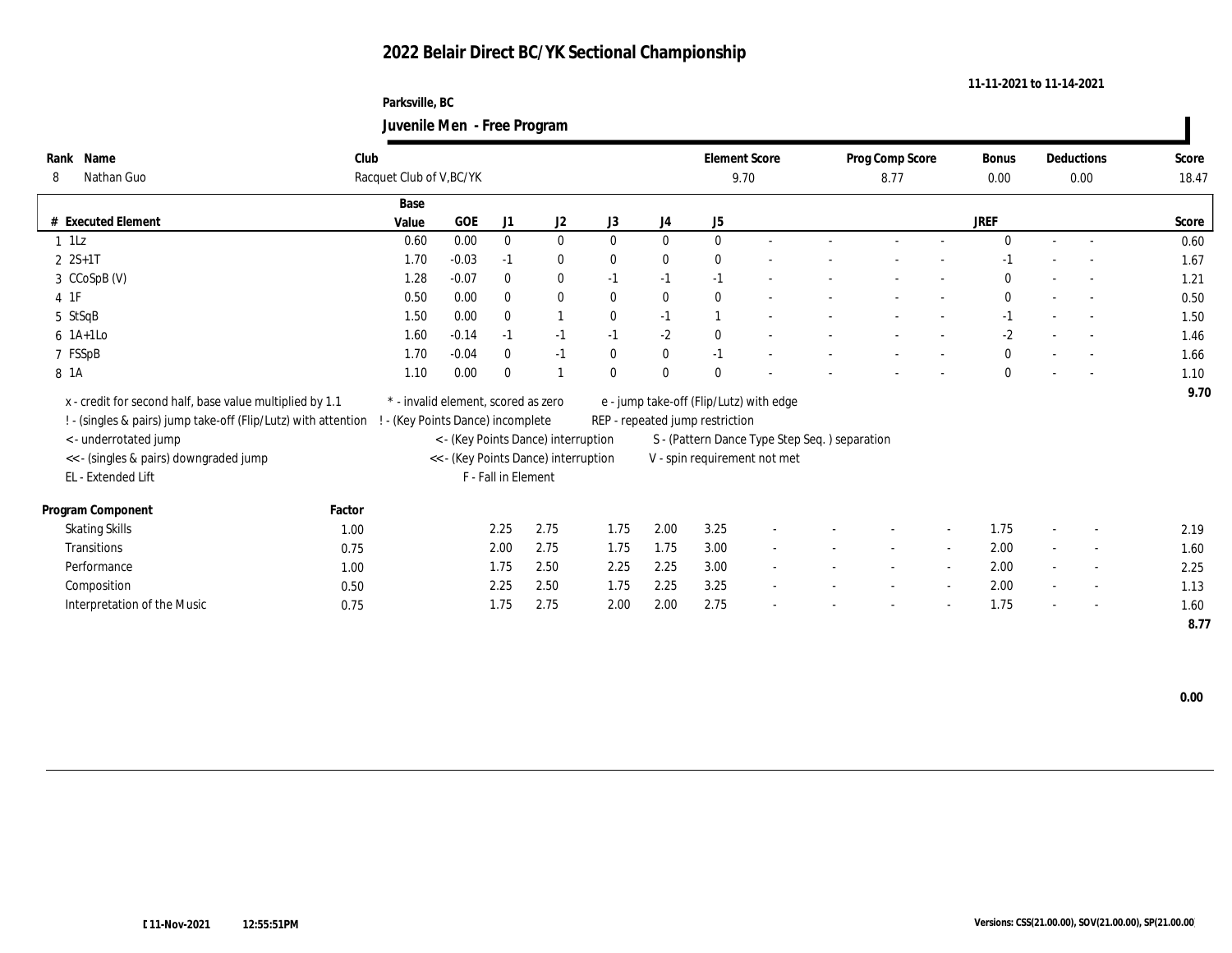#### **Parksville, BC Juvenile Men - Free Program**

|                                                                  |        |                                     |            |                     | ັ                                    |              |          |                                 |                                               |                          |                          |              |        |                          |       |
|------------------------------------------------------------------|--------|-------------------------------------|------------|---------------------|--------------------------------------|--------------|----------|---------------------------------|-----------------------------------------------|--------------------------|--------------------------|--------------|--------|--------------------------|-------|
| Name<br>Rank                                                     | Club   |                                     |            |                     |                                      |              |          |                                 | <b>Element Score</b>                          | Prog Comp Score          |                          | <b>Bonus</b> |        | Deductions               | Score |
| Nathan Guo<br>8                                                  |        | Racquet Club of V, BC/YK            |            |                     |                                      |              |          |                                 | 9.70                                          | 8.77                     |                          | 0.00         |        | 0.00                     | 18.47 |
|                                                                  |        | Base                                |            |                     |                                      |              |          |                                 |                                               |                          |                          |              |        |                          |       |
| # Executed Element                                               |        | Value                               | <b>GOE</b> | J1                  | J <sub>2</sub>                       | J3           | J4       | J5                              |                                               |                          |                          | <b>JREF</b>  |        |                          | Score |
| $1$ 1Lz                                                          |        | 0.60                                | 0.00       | $\mathbf{0}$        | $\bf{0}$                             | $\mathbf{0}$ | $\bf{0}$ | $\mathbf{0}$                    | $\sim$                                        |                          |                          | $\theta$     | $\sim$ | $\sim$                   | 0.60  |
| $2 \t2S+1T$                                                      |        | 1.70                                | $-0.03$    | $-1$                | $\bf{0}$                             | $\bf{0}$     | $\bf{0}$ | $\bf{0}$                        |                                               |                          |                          | $-1$         |        |                          | 1.67  |
| 3 CCoSpB (V)                                                     |        | 1.28                                | $-0.07$    | $\bf{0}$            | $\bf{0}$                             | $-1$         | $-1$     | $-1$                            |                                               |                          |                          | $\bf{0}$     |        | $\overline{a}$           | 1.21  |
| $4$ 1F                                                           |        | 0.50                                | 0.00       | $\bf{0}$            | $\bf{0}$                             | $\bf{0}$     | $\bf{0}$ | $\theta$                        | ٠                                             |                          |                          | $\mathbf{0}$ | $\sim$ | $\sim$                   | 0.50  |
| 5 StSqB                                                          |        | 1.50                                | 0.00       | $\bf{0}$            |                                      | $\bf{0}$     | $-1$     |                                 |                                               |                          |                          | $-1$         |        | $\overline{\phantom{a}}$ | 1.50  |
| $6$ 1A+1Lo                                                       |        | 1.60                                | $-0.14$    | $-1$                | $-1$                                 | $-1$         | $-2$     | $\bf{0}$                        | $\overline{a}$                                |                          | $\sim$                   | $-2$         |        | $\overline{a}$           | 1.46  |
| 7 FSSpB                                                          |        | 1.70                                | $-0.04$    | $\mathbf{0}$        | $-1$                                 | $\mathbf{0}$ | $\bf{0}$ | $-1$                            |                                               |                          |                          | $\mathbf{0}$ |        | $\overline{\phantom{a}}$ | 1.66  |
| 8 1 A                                                            |        | 1.10                                | 0.00       | $\theta$            |                                      | $\bf{0}$     | $\bf{0}$ | $\theta$                        |                                               |                          |                          | $\mathbf{0}$ |        |                          | 1.10  |
| x - credit for second half, base value multiplied by 1.1         |        | * - invalid element, scored as zero |            |                     |                                      |              |          |                                 | e - jump take-off (Flip/Lutz) with edge       |                          |                          |              |        |                          | 9.70  |
| ! - (singles & pairs) jump take-off (Flip/Lutz) with attention ! |        | (Key Points Dance) incomplete       |            |                     |                                      |              |          | REP - repeated jump restriction |                                               |                          |                          |              |        |                          |       |
| < - underrotated jump                                            |        |                                     |            |                     | < - (Key Points Dance) interruption  |              |          |                                 | S - (Pattern Dance Type Step Seq.) separation |                          |                          |              |        |                          |       |
| << - (singles & pairs) downgraded jump                           |        |                                     |            |                     | << - (Key Points Dance) interruption |              |          |                                 | V - spin requirement not met                  |                          |                          |              |        |                          |       |
| EL - Extended Lift                                               |        |                                     |            | F - Fall in Element |                                      |              |          |                                 |                                               |                          |                          |              |        |                          |       |
|                                                                  |        |                                     |            |                     |                                      |              |          |                                 |                                               |                          |                          |              |        |                          |       |
| Program Component                                                | Factor |                                     |            |                     |                                      |              |          |                                 |                                               |                          |                          |              |        |                          |       |
| <b>Skating Skills</b>                                            | 1.00   |                                     |            | 2.25                | 2.75                                 | 1.75         | 2.00     | 3.25                            |                                               |                          |                          | 1.75         |        | $\overline{\phantom{a}}$ | 2.19  |
| Transitions                                                      | 0.75   |                                     |            | 2.00                | 2.75                                 | 1.75         | 1.75     | 3.00                            | $\overline{\phantom{a}}$                      | $\sim$                   | $\sim$                   | 2.00         | $\sim$ | $\sim$                   | 1.60  |
| Performance                                                      | 1.00   |                                     |            | 1.75                | 2.50                                 | 2.25         | 2.25     | 3.00                            |                                               |                          | $\overline{\phantom{a}}$ | 2.00         |        | $\overline{\phantom{a}}$ | 2.25  |
| Composition                                                      | 0.50   |                                     |            | 2.25                | 2.50                                 | 1.75         | 2.25     | 3.25                            | $\sim$                                        | $\overline{\phantom{a}}$ | $\overline{\phantom{a}}$ | 2.00         |        | $\sim$                   | 1.13  |
| Interpretation of the Music                                      | 0.75   |                                     |            | 1.75                | 2.75                                 | 2.00         | 2.00     | 2.75                            |                                               |                          |                          | 1.75         |        | $\overline{\phantom{a}}$ | 1.60  |
|                                                                  |        |                                     |            |                     |                                      |              |          |                                 |                                               |                          |                          |              |        |                          | 8.77  |

 **0.00**

 $\blacksquare$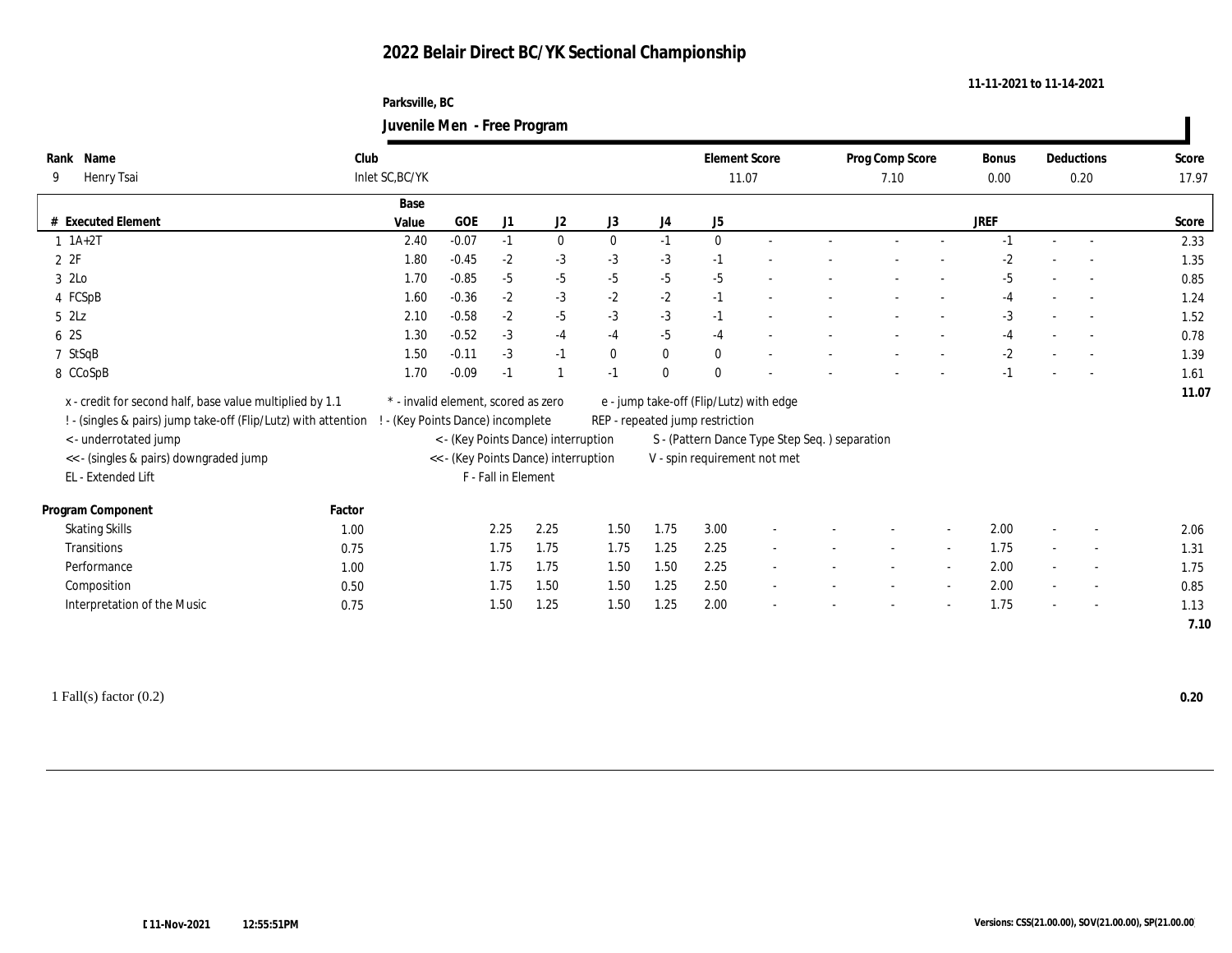#### **Parksville, BC Juvenile Men - Free Program**

|                                                                |        |                                     |         |                     | $\sigma$                             |              |              |                                         |                                                |                          |                |             |                          |                          |       |
|----------------------------------------------------------------|--------|-------------------------------------|---------|---------------------|--------------------------------------|--------------|--------------|-----------------------------------------|------------------------------------------------|--------------------------|----------------|-------------|--------------------------|--------------------------|-------|
| Rank Name                                                      | Club   |                                     |         |                     |                                      |              |              | <b>Element Score</b>                    |                                                | Prog Comp Score          |                | Bonus       |                          | Deductions               | Score |
| Henry Tsai<br>9                                                |        | Inlet SC, BC/YK                     |         |                     |                                      |              |              | 11.07                                   |                                                | 7.10                     |                | 0.00        |                          | 0.20                     | 17.97 |
|                                                                |        | Base                                |         |                     |                                      |              |              |                                         |                                                |                          |                |             |                          |                          |       |
| # Executed Element                                             |        | Value                               | GOE     | J1                  | J2                                   | J3           | J4           | J5                                      |                                                |                          |                | <b>JREF</b> |                          |                          | Score |
| $1$ 1A+2T                                                      |        | 2.40                                | $-0.07$ | $-1$                | $\bf{0}$                             | $\mathbf{0}$ | $-1$         | $\mathbf{0}$                            |                                                | $\sim$                   |                | $-1$        | $\sim$                   | $\sim$                   | 2.33  |
| 2Z                                                             |        | 1.80                                | $-0.45$ | $-2$                | $-3$                                 | $-3$         | $-3$         | $-1$                                    |                                                |                          |                | $-2$        |                          |                          | 1.35  |
| 3 2Lo                                                          |        | 1.70                                | $-0.85$ | $-5$                | $-5$                                 | $-5$         | $-5$         | $-5$                                    |                                                |                          |                | $-5$        |                          |                          | 0.85  |
| 4 FCSpB                                                        |        | 1.60                                | $-0.36$ | $-2$                | $-3$                                 | $-2$         | $-2$         | $-1$                                    |                                                |                          |                | $-4$        | $\sim$                   | $\overline{\phantom{a}}$ | 1.24  |
| 5 2Lz                                                          |        | 2.10                                | $-0.58$ | $-2$                | $-5$                                 | $-3$         | $\text{-}3$  | $-1$                                    |                                                |                          |                | $-3$        |                          |                          | 1.52  |
| 6 2S                                                           |        | 1.30                                | $-0.52$ | $-3$                | $-4$                                 | $-4$         | $-5$         | $-4$                                    |                                                | $\sim$                   | $\sim$         | $-4$        |                          | $\sim$                   | 0.78  |
| 7 StSqB                                                        |        | 1.50                                | $-0.11$ | $-3$                | $-1$                                 | $\mathbf{0}$ | $\bf{0}$     | $\mathbf{0}$                            |                                                |                          |                | $-2$        |                          |                          | 1.39  |
| 8 CCoSpB                                                       |        | 1.70                                | $-0.09$ | $-1$                |                                      | $-1$         | $\mathbf{0}$ | $\theta$                                |                                                |                          |                | $-1$        |                          |                          | 1.61  |
| x - credit for second half, base value multiplied by 1.1       |        | * - invalid element, scored as zero |         |                     |                                      |              |              | e - jump take-off (Flip/Lutz) with edge |                                                |                          |                |             |                          |                          | 11.07 |
| ! - (singles & pairs) jump take-off (Flip/Lutz) with attention |        | - (Key Points Dance) incomplete     |         |                     |                                      |              |              | REP - repeated jump restriction         |                                                |                          |                |             |                          |                          |       |
| <- underrotated jump                                           |        |                                     |         |                     | < - (Key Points Dance) interruption  |              |              |                                         | S - (Pattern Dance Type Step Seq. ) separation |                          |                |             |                          |                          |       |
| << - (singles & pairs) downgraded jump                         |        |                                     |         |                     | << - (Key Points Dance) interruption |              |              | V - spin requirement not met            |                                                |                          |                |             |                          |                          |       |
| EL - Extended Lift                                             |        |                                     |         | F - Fall in Element |                                      |              |              |                                         |                                                |                          |                |             |                          |                          |       |
|                                                                |        |                                     |         |                     |                                      |              |              |                                         |                                                |                          |                |             |                          |                          |       |
| Program Component                                              | Factor |                                     |         |                     |                                      |              |              |                                         |                                                |                          |                |             |                          |                          |       |
| <b>Skating Skills</b>                                          | 1.00   |                                     |         | 2.25                | 2.25                                 | 1.50         | 1.75         | 3.00                                    |                                                |                          |                | 2.00        |                          |                          | 2.06  |
| <b>Transitions</b>                                             | 0.75   |                                     |         | 1.75                | 1.75                                 | 1.75         | 1.25         | 2.25                                    |                                                | $\sim$                   | $\sim$         | 1.75        | $\sim$                   | $\sim$                   | 1.31  |
| Performance                                                    | 1.00   |                                     |         | 1.75                | 1.75                                 | 1.50         | 1.50         | 2.25                                    |                                                | $\overline{\phantom{a}}$ | $\overline{a}$ | 2.00        | $\overline{\phantom{a}}$ | $\overline{\phantom{a}}$ | 1.75  |
| Composition                                                    | 0.50   |                                     |         | 1.75                | 1.50                                 | 1.50         | 1.25         | 2.50                                    |                                                |                          |                | 2.00        |                          | $\sim$                   | 0.85  |
| Interpretation of the Music                                    | 0.75   |                                     |         | 1.50                | 1.25                                 | 1.50         | 1.25         | 2.00                                    |                                                |                          | $\overline{a}$ | 1.75        |                          | $\sim$                   | 1.13  |
|                                                                |        |                                     |         |                     |                                      |              |              |                                         |                                                |                          |                |             |                          |                          | 7.10  |
|                                                                |        |                                     |         |                     |                                      |              |              |                                         |                                                |                          |                |             |                          |                          |       |

 $\blacksquare$